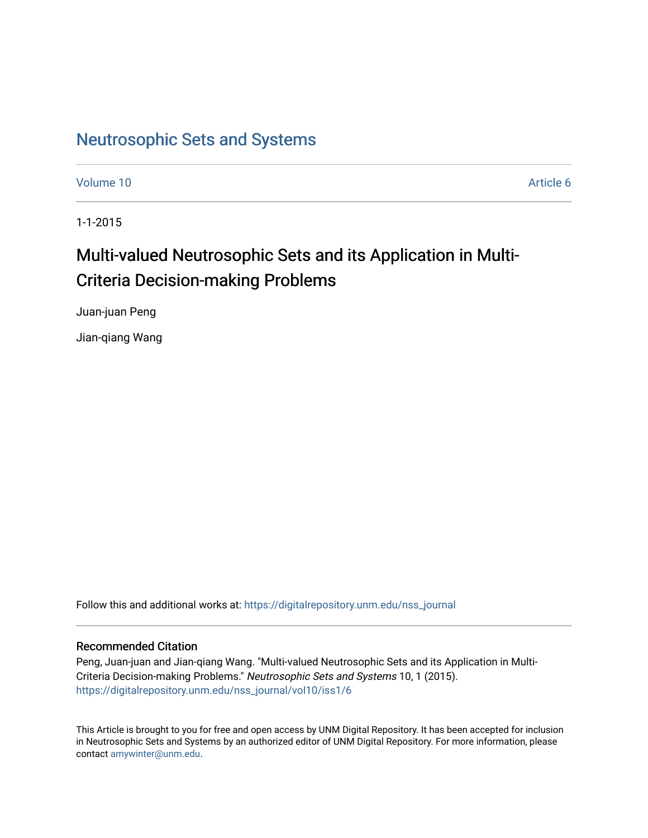# [Neutrosophic Sets and Systems](https://digitalrepository.unm.edu/nss_journal)

[Volume 10](https://digitalrepository.unm.edu/nss_journal/vol10) [Article 6](https://digitalrepository.unm.edu/nss_journal/vol10/iss1/6) 

1-1-2015

# Multi-valued Neutrosophic Sets and its Application in Multi-Criteria Decision-making Problems

Juan-juan Peng

Jian-qiang Wang

Follow this and additional works at: [https://digitalrepository.unm.edu/nss\\_journal](https://digitalrepository.unm.edu/nss_journal?utm_source=digitalrepository.unm.edu%2Fnss_journal%2Fvol10%2Fiss1%2F6&utm_medium=PDF&utm_campaign=PDFCoverPages) 

# Recommended Citation

Peng, Juan-juan and Jian-qiang Wang. "Multi-valued Neutrosophic Sets and its Application in Multi-Criteria Decision-making Problems." Neutrosophic Sets and Systems 10, 1 (2015). [https://digitalrepository.unm.edu/nss\\_journal/vol10/iss1/6](https://digitalrepository.unm.edu/nss_journal/vol10/iss1/6?utm_source=digitalrepository.unm.edu%2Fnss_journal%2Fvol10%2Fiss1%2F6&utm_medium=PDF&utm_campaign=PDFCoverPages)

This Article is brought to you for free and open access by UNM Digital Repository. It has been accepted for inclusion in Neutrosophic Sets and Systems by an authorized editor of UNM Digital Repository. For more information, please contact [amywinter@unm.edu](mailto:amywinter@unm.edu).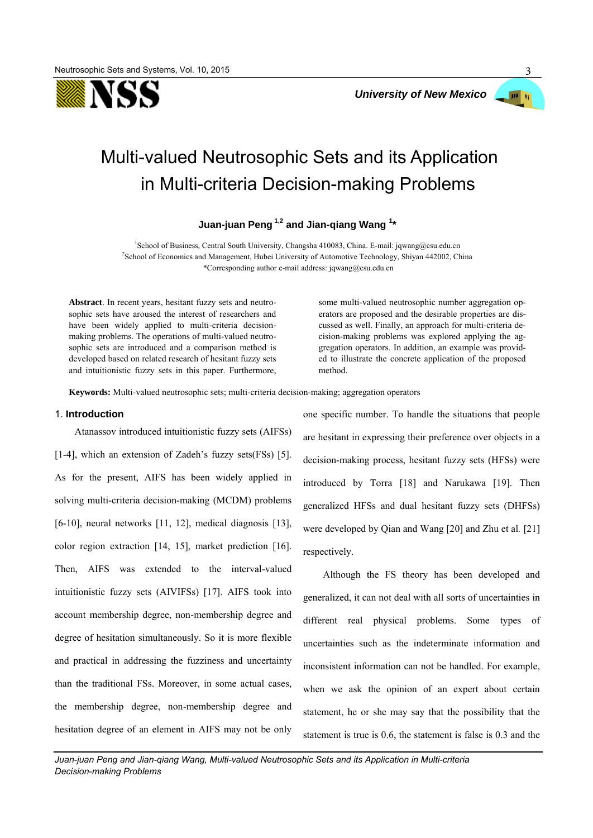



# Multi-valued Neutrosophic Sets and its Application in Multi-criteria Decision-making Problems

**Juan-juan Peng 1,2 and Jian-qiang Wang <sup>1</sup> \***

<sup>1</sup>School of Business, Central South University, Changsha 410083, China. E-mail: jqwang@csu.edu.cn <sup>2</sup>School of Economics and Management, Hubei University of Automotive Technology, Shiyan 442002, China \*Corresponding author e-mail address: jqwang@csu.edu.cn

**Abstract**. In recent years, hesitant fuzzy sets and neutrosophic sets have aroused the interest of researchers and have been widely applied to multi-criteria decisionmaking problems. The operations of multi-valued neutrosophic sets are introduced and a comparison method is developed based on related research of hesitant fuzzy sets and intuitionistic fuzzy sets in this paper. Furthermore, some multi-valued neutrosophic number aggregation operators are proposed and the desirable properties are discussed as well. Finally, an approach for multi-criteria decision-making problems was explored applying the aggregation operators. In addition, an example was provided to illustrate the concrete application of the proposed method.

**Keywords:** Multi-valued neutrosophic sets; multi-criteria decision-making; aggregation operators

#### 1. **Introduction**

Atanassov introduced intuitionistic fuzzy sets (AIFSs) [1-4], which an extension of Zadeh's fuzzy sets(FSs) [5]. As for the present, AIFS has been widely applied in solving multi-criteria decision-making (MCDM) problems [6-10], neural networks [11, 12], medical diagnosis [13], color region extraction [14, 15], market prediction [16]. Then, AIFS was extended to the interval-valued intuitionistic fuzzy sets (AIVIFSs) [17]. AIFS took into account membership degree, non-membership degree and degree of hesitation simultaneously. So it is more flexible and practical in addressing the fuzziness and uncertainty than the traditional FSs. Moreover, in some actual cases, the membership degree, non-membership degree and hesitation degree of an element in AIFS may not be only one specific number. To handle the situations that people are hesitant in expressing their preference over objects in a decision-making process, hesitant fuzzy sets (HFSs) were introduced by Torra [18] and Narukawa [19]. Then generalized HFSs and dual hesitant fuzzy sets (DHFSs) were developed by Qian and Wang [20] and Zhu et al*.* [21] respectively.

Although the FS theory has been developed and generalized, it can not deal with all sorts of uncertainties in different real physical problems. Some types of uncertainties such as the indeterminate information and inconsistent information can not be handled. For example, when we ask the opinion of an expert about certain statement, he or she may say that the possibility that the statement is true is 0.6, the statement is false is 0.3 and the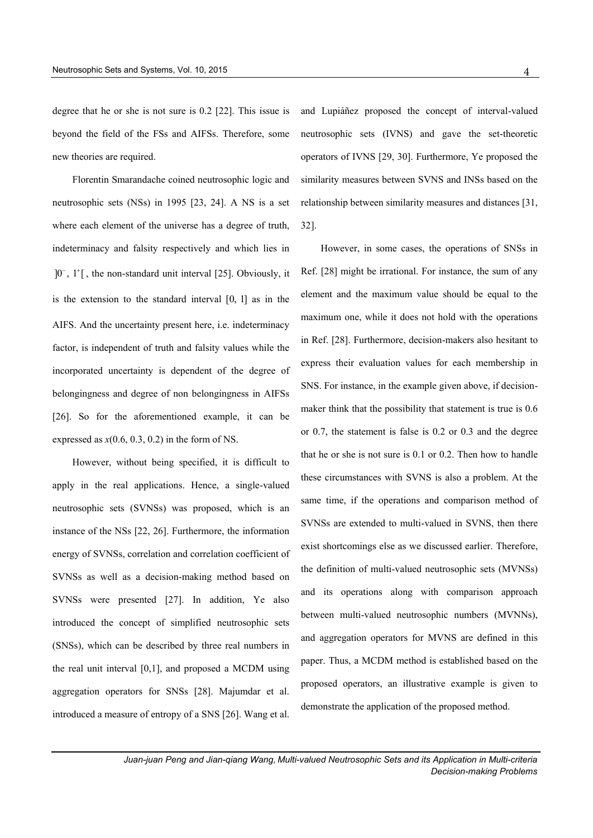degree that he or she is not sure is 0.2 [22]. This issue is beyond the field of the FSs and AIFSs. Therefore, some new theories are required.

Florentin Smarandache coined neutrosophic logic and neutrosophic sets (NSs) in 1995 [23, 24]. A NS is a set where each element of the universe has a degree of truth, indeterminacy and falsity respectively and which lies in  $]0^-, 1^+]$ , the non-standard unit interval [25]. Obviously, it is the extension to the standard interval [0, 1] as in the AIFS. And the uncertainty present here, i.e. indeterminacy factor, is independent of truth and falsity values while the incorporated uncertainty is dependent of the degree of belongingness and degree of non belongingness in AIFSs [26]. So for the aforementioned example, it can be expressed as  $x(0.6, 0.3, 0.2)$  in the form of NS.

However, without being specified, it is difficult to apply in the real applications. Hence, a single-valued neutrosophic sets (SVNSs) was proposed, which is an instance of the NSs [22, 26]. Furthermore, the information energy of SVNSs, correlation and correlation coefficient of SVNSs as well as a decision-making method based on SVNSs were presented [27]. In addition, Ye also introduced the concept of simplified neutrosophic sets (SNSs), which can be described by three real numbers in the real unit interval [0,1], and proposed a MCDM using aggregation operators for SNSs [28]. Majumdar et al. introduced a measure of entropy of a SNS [26]. Wang et al.

and Lupiáñez proposed the concept of interval-valued neutrosophic sets (IVNS) and gave the set-theoretic operators of IVNS [29, 30]. Furthermore, Ye proposed the similarity measures between SVNS and INSs based on the relationship between similarity measures and distances [31, 32].

However, in some cases, the operations of SNSs in Ref. [28] might be irrational. For instance, the sum of any element and the maximum value should be equal to the maximum one, while it does not hold with the operations in Ref. [28]. Furthermore, decision-makers also hesitant to express their evaluation values for each membership in SNS. For instance, in the example given above, if decisionmaker think that the possibility that statement is true is 0.6 or 0.7, the statement is false is 0.2 or 0.3 and the degree that he or she is not sure is 0.1 or 0.2. Then how to handle these circumstances with SVNS is also a problem. At the same time, if the operations and comparison method of SVNSs are extended to multi-valued in SVNS, then there exist shortcomings else as we discussed earlier. Therefore, the definition of multi-valued neutrosophic sets (MVNSs) and its operations along with comparison approach between multi-valued neutrosophic numbers (MVNNs), and aggregation operators for MVNS are defined in this paper. Thus, a MCDM method is established based on the proposed operators, an illustrative example is given to demonstrate the application of the proposed method.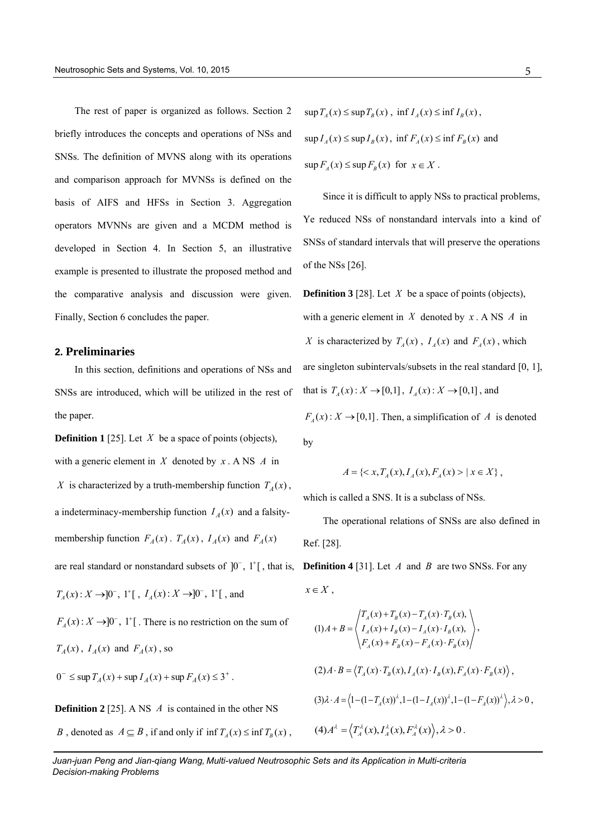The rest of paper is organized as follows. Section 2 briefly introduces the concepts and operations of NSs and SNSs. The definition of MVNS along with its operations and comparison approach for MVNSs is defined on the basis of AIFS and HFSs in Section 3. Aggregation operators MVNNs are given and a MCDM method is developed in Section 4. In Section 5, an illustrative example is presented to illustrate the proposed method and the comparative analysis and discussion were given. Finally, Section 6 concludes the paper.

#### **2. Preliminaries**

In this section, definitions and operations of NSs and SNSs are introduced, which will be utilized in the rest of the paper.

**Definition 1** [25]. Let  $X$  be a space of points (objects), with a generic element in  $X$  denoted by  $x \cdot A$  NS  $A$  in X is characterized by a truth-membership function  $T_A(x)$ , a indeterminacy-membership function  $I_A(x)$  and a falsitymembership function  $F_A(x)$ .  $T_A(x)$ ,  $I_A(x)$  and  $F_A(x)$ are real standard or nonstandard subsets of  $]0^{\circ}$ ,  $]1^{\circ}$ , that is,  $T_A(x) : X \rightarrow ]0^-, 1^+[~,~I_A(x) : X \rightarrow ]0^-, 1^+[~,$  and  $F_A(x): X \to ]0^-, 1^+]$ . There is no restriction on the sum of  $T_A(x)$ ,  $I_A(x)$  and  $F_A(x)$ , so  $0^{-} \leq \sup T_A(x) + \sup I_A(x) + \sup F_A(x) \leq 3^{+}$ .

**Definition 2** [25]. A NS A is contained in the other NS *B*, denoted as  $A \subseteq B$ , if and only if  $\inf T_A(x) \le \inf T_B(x)$ ,

 $\sup T_A(x) \leq \sup T_B(x)$ ,  $\inf I_A(x) \leq \inf I_B(x)$ ,  $\sup I_A(x) \leq \sup I_B(x)$ ,  $\inf F_A(x) \leq \inf F_B(x)$  and  $\sup F_A(x) \leq \sup F_B(x)$  for  $x \in X$ .

Since it is difficult to apply NSs to practical problems, Ye reduced NSs of nonstandard intervals into a kind of SNSs of standard intervals that will preserve the operations of the NSs [26].

**Definition 3** [28]. Let  $X$  be a space of points (objects), with a generic element in  $X$  denoted by  $x \cdot A$  NS  $A$  in X is characterized by  $T_A(x)$ ,  $I_A(x)$  and  $F_A(x)$ , which are singleton subintervals/subsets in the real standard [0, 1], that is  $T_A(x) : X \to [0,1]$ ,  $I_A(x) : X \to [0,1]$ , and

 $F_A(x)$ :  $X \to [0,1]$ . Then, a simplification of A is denoted by

$$
A = \{ \langle x, T_A(x), I_A(x), F_A(x) \rangle \mid x \in X \},
$$

which is called a SNS. It is a subclass of NSs.

The operational relations of SNSs are also defined in Ref. [28].

**Definition 4** [31]. Let  $A$  and  $B$  are two SNSs. For any  $x \in X$ ,

$$
(1) A + B = \begin{cases} T_A(x) + T_B(x) - T_A(x) \cdot T_B(x), \\ I_A(x) + I_B(x) - I_A(x) \cdot I_B(x), \\ F_A(x) + F_B(x) - F_A(x) \cdot F_B(x) \end{cases},
$$
  
\n
$$
(2) A \cdot B = \langle T_A(x) \cdot T_B(x), I_A(x) \cdot I_B(x), F_A(x) \cdot F_B(x) \rangle,
$$
  
\n
$$
(3) \lambda \cdot A = \langle 1 - (1 - T_A(x))^{\lambda}, 1 - (1 - I_A(x))^{\lambda}, 1 - (1 - F_A(x))^{\lambda} \rangle, \lambda > 0,
$$
  
\n
$$
(4) A^{\lambda} = \langle T_A^{\lambda}(x), I_A^{\lambda}(x), F_A^{\lambda}(x) \rangle, \lambda > 0.
$$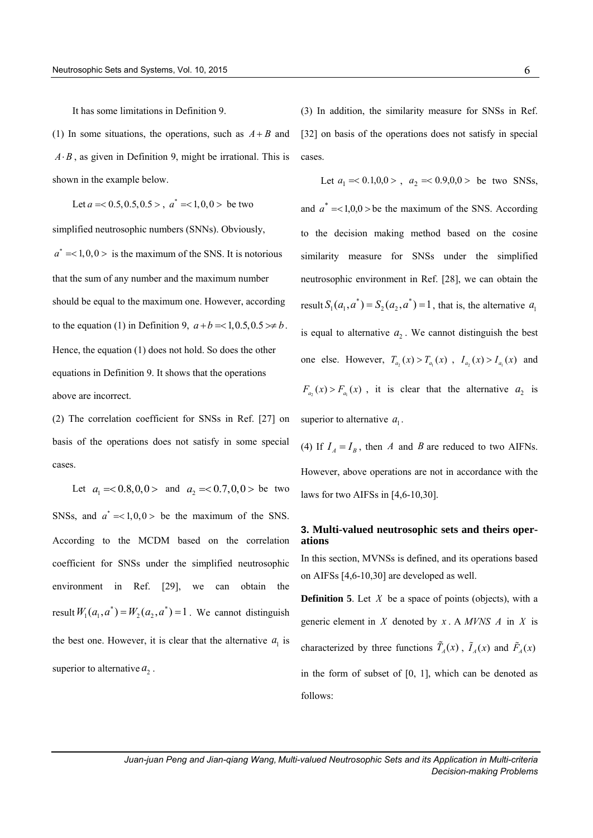It has some limitations in Definition 9.

(1) In some situations, the operations, such as  $A + B$  and  $A \cdot B$ , as given in Definition 9, might be irrational. This is shown in the example below.

Let  $a = 0.5, 0.5, 0.5 >$ ,  $a^* = 1, 0, 0 >$  be two

simplified neutrosophic numbers (SNNs). Obviously,  $a^* = <1, 0, 0>$  is the maximum of the SNS. It is notorious that the sum of any number and the maximum number should be equal to the maximum one. However, according to the equation (1) in Definition 9,  $a+b = <1,0.5,0.5> \neq b$ . Hence, the equation (1) does not hold. So does the other equations in Definition 9. It shows that the operations above are incorrect.

(2) The correlation coefficient for SNSs in Ref. [27] on basis of the operations does not satisfy in some special cases.

Let  $a_1 = 0.8, 0.0 >$  and  $a_2 = 0.7, 0.0 >$  be two SNSs, and  $a^* = <1, 0, 0>$  be the maximum of the SNS. According to the MCDM based on the correlation coefficient for SNSs under the simplified neutrosophic environment in Ref. [29], we can obtain the result  $W_1(a_1, a^*) = W_2(a_2, a^*) = 1$ . We cannot distinguish the best one. However, it is clear that the alternative  $a_1$  is superior to alternative  $a_2$ .

(3) In addition, the similarity measure for SNSs in Ref. [32] on basis of the operations does not satisfy in special cases.

Let  $a_1 \approx 0.1, 0.0 >$ ,  $a_2 \approx 0.9, 0.0 >$  be two SNSs, and  $a^* = <1,0,0>$  be the maximum of the SNS. According to the decision making method based on the cosine similarity measure for SNSs under the simplified neutrosophic environment in Ref. [28], we can obtain the result  $S_1(a_1, a^*) = S_2(a_2, a^*) = 1$ , that is, the alternative  $a_1$ is equal to alternative  $a_2$ . We cannot distinguish the best one else. However,  $T_{a_2}(x) > T_{a_1}(x)$ ,  $I_{a_2}(x) > I_{a_1}(x)$  and  $F_{a_2}(x) > F_{a_1}(x)$ , it is clear that the alternative  $a_2$  is superior to alternative  $a_1$ .

(4) If  $I_A = I_B$ , then *A* and *B* are reduced to two AIFNs. However, above operations are not in accordance with the laws for two AIFSs in [4,6-10,30].

# **3. Multi-valued neutrosophic sets and theirs operations**

In this section, MVNSs is defined, and its operations based on AIFSs [4,6-10,30] are developed as well.

**Definition 5.** Let  $X$  be a space of points (objects), with a generic element in  $X$  denoted by  $x \cdot A$  *MVNS*  $A$  in  $X$  is characterized by three functions  $T_A(x)$ ,  $\tilde{I}_A(x)$  and  $\tilde{F}_A(x)$ in the form of subset of [0, 1], which can be denoted as follows: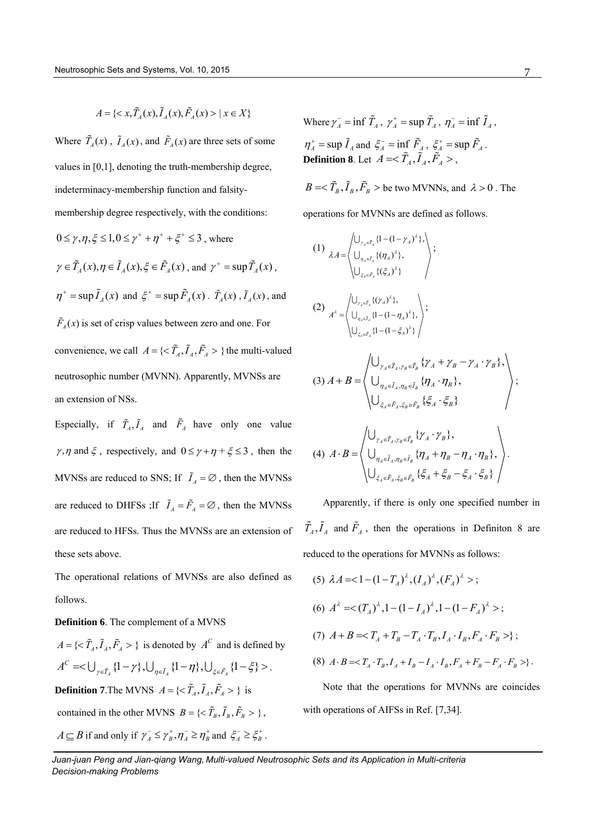$$
A = \{ \langle x, \tilde{T}_A(x), \tilde{I}_A(x), \tilde{F}_A(x) \rangle \mid x \in X \}
$$

Where  $T_A(x)$ ,  $\tilde{I}_A(x)$ , and  $\tilde{F}_A(x)$  are three sets of some values in [0,1], denoting the truth-membership degree, indeterminacy-membership function and falsitymembership degree respectively, with the conditions:

$$
0 \le \gamma, \eta, \xi \le 1, 0 \le \gamma^+ + \eta^+ + \xi^+ \le 3
$$
, where  
\n
$$
\gamma \in \tilde{T}_A(x), \eta \in \tilde{I}_A(x), \xi \in \tilde{F}_A(x), \text{ and } \gamma^+ = \sup \tilde{T}_A(x),
$$
  
\n
$$
\eta^+ = \sup \tilde{I}_A(x) \text{ and } \xi^+ = \sup \tilde{F}_A(x) \cdot \tilde{T}_A(x), \tilde{I}_A(x), \text{ and}
$$
  
\n
$$
\tilde{F}_A(x) \text{ is set of crisp values between zero and one. For}
$$
  
\nconvenience, we call  $A = \{\langle \tilde{T}_A, \tilde{I}_A, \tilde{F}_A \rangle \}$  the multi-valued  
\nneutrosophic number (MVNN). Apparently, MVNSs are  
\nan extension of NSs.

Especially, if  $\overline{T}_A, \overline{I}_A$  and  $F_A$  have only one value  $\gamma$ ,  $\eta$  and  $\xi$ , respectively, and  $0 \le \gamma + \eta + \xi \le 3$ , then the MVNSs are reduced to SNS; If  $\tilde{I}_A = \emptyset$ , then the MVNSs are reduced to DHFSs ; If  $\tilde{I}_A = \tilde{F}_A = \emptyset$ , then the MVNSs are reduced to HFSs. Thus the MVNSs are an extension of these sets above.

The operational relations of MVNSs are also defined as follows.

### **Definition 6**. The complement of a MVNS

 $A = \{ \langle \tilde{T}_A, \tilde{I}_A, \tilde{F}_A \rangle \}$  is denoted by  $A^C$  and is defined by  ${1, r_A > \gamma}$  is denoted by *A* and is defined by<br> ${1 - \gamma}, \bigcup_{\eta \in \tilde{I}_A} \{1 - \eta\}, \bigcup_{\xi \in \tilde{F}_A} \{1 - \xi\} > .$ *C*  $A = \{ \langle \langle T_A, I_A, F_A \rangle \rangle \}$  is denoted by  $A^{\circ}$  and is defined by<br>  $A^C = \langle \bigcup_{\gamma \in \tilde{T}_A} \{1 - \gamma\}, \bigcup_{\eta \in \tilde{I}_A} \{1 - \eta\}, \bigcup_{\xi \in \tilde{F}_A} \{1 - \xi\} \rangle.$ **Definition 7.** The MVNS  $A = \{ \langle \tilde{T}_A, \tilde{I}_A, \tilde{F}_A \rangle \}$  is contained in the other MVNS  $B = \{ \langle \tilde{T}_B, \tilde{I}_B, \tilde{F}_B \rangle \},$  $A \subseteq B$  if and only if  $\gamma_A^- \leq \gamma_B^+, \eta_A^- \geq \eta_B^+$  and  $\xi_A^- \geq \xi_B^+$ .

Where  $\gamma_A^-$  = inf  $\tilde{T}_A$ ,  $\gamma_A^+$  = sup  $\tilde{T}_A$ ,  $\eta_A^-$  = inf  $\tilde{I}_A$ ,  $\eta_A^+$  = sup  $\tilde{I}_A$  and  $\xi_A^-$  = inf  $\tilde{F}_A$ ,  $\xi_A^+$  = sup  $\tilde{F}_A$ . **Definition 8.** Let  $A = \langle \tilde{T}_A, \tilde{I}_A, \tilde{F}_A \rangle$ ,

 $B = \langle \tilde{T}_B, \tilde{I}_B, \tilde{F}_B \rangle$  be two MVNNs, and  $\lambda > 0$ . The

operations for MVNNs are defined as follows.

(1) 
$$
\lambda A = \begin{pmatrix} \bigcup_{\gamma_A \in \tilde{I}_A} \{1 - (1 - \gamma_A)^{\lambda}\}, \\ \bigcup_{\gamma_A \in \tilde{I}_A} \{(\eta_A)^{\lambda}\}, \\ \bigcup_{\xi_A \in \tilde{F}_A} \{(\xi_A)^{\lambda}\} \end{pmatrix};
$$
  
\n(2) 
$$
A^{\lambda} = \begin{pmatrix} \bigcup_{\gamma_A \in \tilde{I}_A} \{(\gamma_A)^{\lambda}\}, \\ \bigcup_{\gamma_A \in \tilde{I}_A} \{1 - (1 - \eta_A)^{\lambda}\}, \\ \bigcup_{\xi_A \in \tilde{F}_A} \{1 - (1 - \xi_A)^{\lambda}\} \end{pmatrix};
$$
  
\n(3) 
$$
A + B = \begin{pmatrix} \bigcup_{\gamma_A \in \tilde{I}_A, \gamma_B \in \tilde{I}_B} \{\gamma_A + \gamma_B - \gamma_A \cdot \gamma_B\}, \\ \bigcup_{\xi_A \in \tilde{I}_A, \eta_B \in \tilde{I}_B} \{\eta_A \cdot \eta_B\}, \\ \bigcup_{\xi_A \in \tilde{F}_A, \xi_B \in \tilde{F}_B} \{\xi_A \cdot \xi_B\} \end{pmatrix};
$$

$$
(4) A \cdot B = \begin{pmatrix} \bigcup_{\gamma_A \in \tilde{T}_A, \gamma_B \in \tilde{T}_B} \{\gamma_A \cdot \gamma_B\}, \\ \bigcup_{\eta_A \in \tilde{I}_A, \eta_B \in \tilde{I}_B} \{\eta_A + \eta_B - \eta_A \cdot \eta_B\}, \\ \bigcup_{\xi_A \in \tilde{F}_A, \xi_B \in \tilde{F}_B} \{\xi_A + \xi_B - \xi_A \cdot \xi_B\} \end{pmatrix}.
$$

Apparently, if there is only one specified number in  $T_A, I_A$  and  $F_A$ , then the operations in Definiton 8 are reduced to the operations for MVNNs as follows:

(5) 
$$
\lambda A = (1 - (1 - T_A)^{\lambda}, (I_A)^{\lambda}, (F_A)^{\lambda} >
$$
;  
\n(6)  $A^{\lambda} = (T_A)^{\lambda}, 1 - (1 - I_A)^{\lambda}, 1 - (1 - F_A)^{\lambda} >$ ;  
\n(7)  $A + B = \langle T_A + T_B - T_A \cdot T_B, I_A \cdot I_B, F_A \cdot F_B >$ };  
\n(8)  $A \cdot B = \langle T_A \cdot T_B, I_A + I_B - I_A \cdot I_B, F_A + F_B - F_A \cdot F_B >$ }.

Note that the operations for MVNNs are coincides with operations of AIFSs in Ref. [7,34].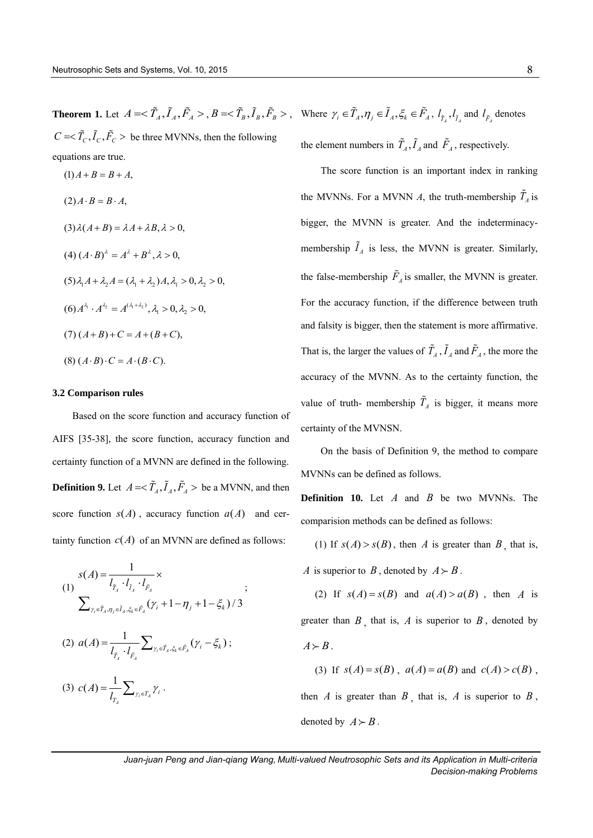$C = \langle \tilde{T}_C, \tilde{I}_C, \tilde{F}_C \rangle$  be three MVNNs, then the following equations are true.

$$
(1) A + B = B + A,
$$
  
\n
$$
(2) A \cdot B = B \cdot A,
$$
  
\n
$$
(3) \lambda (A + B) = \lambda A + \lambda B, \lambda > 0,
$$
  
\n
$$
(4) (A \cdot B)^{\lambda} = A^{\lambda} + B^{\lambda}, \lambda > 0,
$$
  
\n
$$
(5) \lambda_1 A + \lambda_2 A = (\lambda_1 + \lambda_2) A, \lambda_1 > 0, \lambda_2 > 0,
$$
  
\n
$$
(6) A^{\lambda_1} \cdot A^{\lambda_2} = A^{(\lambda_1 + \lambda_2)}, \lambda_1 > 0, \lambda_2 > 0,
$$
  
\n
$$
(7) (A + B) + C = A + (B + C),
$$
  
\n
$$
(8) (A \cdot B) \cdot C = A \cdot (B \cdot C).
$$

#### **3.2 Comparison rules**

Based on the score function and accuracy function of AIFS [35-38], the score function, accuracy function and certainty function of a MVNN are defined in the following. **Definition 9.** Let  $A = \langle \tilde{T}_A, \tilde{I}_A, \tilde{F}_A \rangle$  be a MVNN, and then score function  $s(A)$ , accuracy function  $a(A)$  and certainty function  $c(A)$  of an MVNN are defined as follows:

(1)  
\n
$$
s(A) = \frac{1}{l_{\tilde{T}_A} \cdot l_{\tilde{T}_A} \cdot l_{\tilde{F}_A}} \times
$$
\n
$$
\sum_{\gamma_i \in \tilde{T}_A, \eta_j \in \tilde{I}_A, \xi_k \in \tilde{F}_A} (\gamma_i + 1 - \eta_j + 1 - \xi_k) / 3
$$
\n(2) 
$$
a(A) = \frac{1}{l_{\tilde{T}_A} \cdot l_{\tilde{F}_A}} \sum_{\gamma_i \in \tilde{T}_A, \xi_k \in \tilde{F}_A} (\gamma_i - \xi_k) ;
$$
\n(3) 
$$
c(A) = \frac{1}{l_{T_A}} \sum_{\gamma_i \in T_A} \gamma_i .
$$

**Theorem 1.** Let  $A = \langle \tilde{T}_A, \tilde{I}_A, \tilde{F}_A \rangle$ ,  $B = \langle \tilde{T}_B, \tilde{I}_B, \tilde{F}_B \rangle$ , Where  $\gamma_i \in \tilde{T}_A, \eta_j \in \tilde{I}_A, \xi_k \in \tilde{F}_A, l_{\tilde{T}_A}, l_{\tilde{T}_A}$  and  $l_{\tilde{F}_A}$  denotes the element numbers in  $T_A$ ,  $I_A$  and  $F_A$ , respectively.

> The score function is an important index in ranking the MVNNs. For a MVNN  $\Lambda$ , the truth-membership  $T_A$  is bigger, the MVNN is greater. And the indeterminacymembership  $I_A$  is less, the MVNN is greater. Similarly, the false-membership  $F_A$  is smaller, the MVNN is greater. For the accuracy function, if the difference between truth and falsity is bigger, then the statement is more affirmative. That is, the larger the values of  $T_A$ ,  $I_A$  and  $F_A$ , the more the accuracy of the MVNN. As to the certainty function, the value of truth- membership  $T_A$  is bigger, it means more certainty of the MVNSN.

> On the basis of Definition 9, the method to compare MVNNs can be defined as follows.

> **Definition 10.** Let  $A$  and  $B$  be two MVNNs. The comparision methods can be defined as follows:

(1) If  $s(A) > s(B)$ , then A is greater than B, that is, *A* is superior to *B*, denoted by  $A \succ B$ .

(2) If  $s(A) = s(B)$  and  $a(A) > a(B)$ , then A is greater than  $B$ , that is,  $A$  is superior to  $B$ , denoted by  $A \succ B$ .

(3) If  $s(A) = s(B)$ ,  $a(A) = a(B)$  and  $c(A) > c(B)$ ,

then  $A$  is greater than  $B$ , that is,  $A$  is superior to  $B$ , denoted by  $A \succ B$ .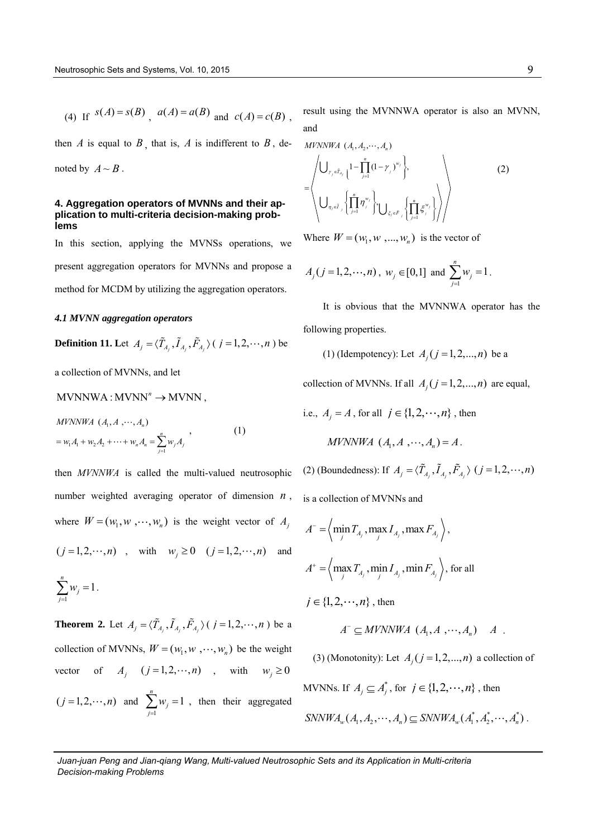(4) If 
$$
s(A) = s(B)
$$
,  $a(A) = a(B)$  and  $c(A) = c(B)$ ,

then  $A$  is equal to  $B$ , that is,  $A$  is indifferent to  $B$ , denoted by  $A \sim B$ .

#### **4. Aggregation operators of MVNNs and their application to multi-criteria decision-making problems**

In this section, applying the MVNSs operations, we present aggregation operators for MVNNs and propose a method for MCDM by utilizing the aggregation operators.

#### *4.1 MVNN aggregation operators*

**Definition 11.** Let  $A_j = \langle \tilde{T}_{A_j}, \tilde{I}_{A_j}, \tilde{F}_{A_j} \rangle$  (  $j = 1, 2, \dots, n$  ) be

a collection of MVNNs, and let

### $MVNNWA : MVNN'' \rightarrow MVNN$ .

 $MVNNWA (A<sub>1</sub>, A, \cdots, A<sub>n</sub>)$  $w_1A_1 + w_2A_2 + \cdots + w_nA_n = \sum_{j=1}^n$  $= w_1 A_1 + w_2 A_2 + \cdots + w_n A_n = \sum_{j=1}^n w_j A_j$  $(1)$ 

then *MVNNWA* is called the multi-valued neutrosophic number weighted averaging operator of dimension *n* , where  $W = (w_1, w_1, \dots, w_n)$  is the weight vector of  $A_j$  $(j = 1, 2, \dots, n)$ , with  $w_j \ge 0$   $(j = 1, 2, \dots, n)$  and *n*

$$
\sum_{j=1} w_j = 1.
$$

**Theorem 2.** Let  $A_j = \langle \tilde{T}_{A_j}, \tilde{I}_{A_j}, \tilde{F}_{A_j} \rangle$  (  $j = 1, 2, \dots, n$  ) be a collection of MVNNs,  $W = (w_1, w_1, \dots, w_n)$  be the weight vector  $A_j$   $(j=1,2,\dots,n)$ , with  $w_j \ge 0$  $(j = 1, 2, \dots, n)$  and 1  $\sum_{i=1}^{n} w_i = 1$ *j j w*  $\sum_{j=1}^{n} w_j = 1$ , then their aggregated

result using the MVNNWA operator is also an MVNN, and

$$
MYNWWA (A_1, A_2, \cdots, A_n)
$$
\n
$$
= \left\langle \bigcup_{\gamma_j \in \tilde{I}_{A_j}} \left\{ 1 - \prod_{j=1}^n (1 - \gamma_j)^{w_j} \right\}, \bigcup_{\zeta_j \in \tilde{F}_j} \left\{ \prod_{j=1}^n \xi_j^{w_j} \right\} \right\rangle \right\rangle
$$
\n(2)

Where  $W = (w_1, w_1, ..., w_n)$  is the vector of

$$
A_j
$$
 ( $j = 1, 2, \dots, n$ ),  $w_j \in [0, 1]$  and  $\sum_{j=1}^n w_j = 1$ .

It is obvious that the MVNNWA operator has the following properties.

(1) (Idempotency): Let  $A_j$  ( $j = 1, 2, ..., n$ ) be a

collection of MVNNs. If all  $A_j$  ( $j = 1, 2, ..., n$ ) are equal,

i.e., 
$$
A_j = A
$$
, for all  $j \in \{1, 2, \dots, n\}$ , then  
*MUNNWA*  $(A_1, A_1, \dots, A_n) = A$ .

(2) (Boundedness): If  $A_j = \langle \tilde{T}_{A_j}, \tilde{I}_{A_j}, \tilde{F}_{A_j} \rangle$  ( $j = 1, 2, \dots, n$ ) is a collection of MVNNs and

$$
A^{-} = \left\langle \min_{j} T_{A_j}, \max_{j} I_{A_j}, \max_{A_j} F_{A_j} \right\rangle,
$$
  

$$
A^{+} = \left\langle \max_{j} T_{A_j}, \min_{j} I_{A_j}, \min_{A_j} F_{A_j} \right\rangle, \text{ for all}
$$
  

$$
j \in \{1, 2, \cdots, n\}, \text{ then}
$$

$$
A^{\scriptscriptstyle\!\top} \subseteq M\text{VNNWA} \ (A_1, A \ , \cdots, A_n) \quad A \ .
$$

(3) (Monotonity): Let  $A_j$  ( $j = 1, 2, ..., n$ ) a collection of

MVNNs. If  $A_j \subseteq A_j^*$ , for  $j \in \{1, 2, \dots, n\}$ , then

$$
SNNWA_w(A_1, A_2, \cdots, A_n) \subseteq SNNWA_w(A_1^*, A_2^*, \cdots, A_n^*)
$$
.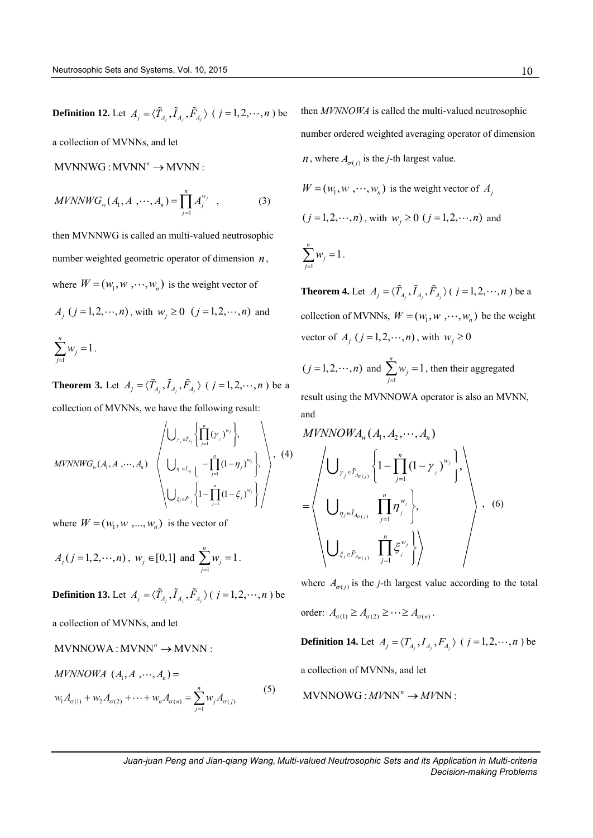**Definition 12.** Let  $A_j = \langle \tilde{T}_{A_j}, \tilde{I}_{A_j}, \tilde{F}_{A_j} \rangle$  (  $j = 1, 2, \dots, n$  ) be

a collection of MVNNs, and let

 $MVNNWG : MVNN'' \rightarrow MVNN$ :

$$
MVNNWG_w(A_1, A_1, \cdots, A_n) = \prod_{j=1}^n A_j^{w_j} , \qquad (3)
$$

then MVNNWG is called an multi-valued neutrosophic number weighted geometric operator of dimension *n*, where  $W = (w_1, w_1, \dots, w_n)$  is the weight vector of

$$
A_j
$$
 ( $j = 1, 2, \dots, n$ ), with  $w_j \ge 0$  ( $j = 1, 2, \dots, n$ ) and

$$
\sum_{j=1}^n w_j = 1.
$$

**Theorem 3.** Let  $A_j = \langle \tilde{T}_{A_j}, \tilde{I}_{A_j}, \tilde{F}_{A_j} \rangle$  ( $j = 1, 2, \dots, n$ ) be a

collection of MVNNs, we have the following result:  
\n
$$
\left\langle \bigcup_{\gamma_j \in \tilde{I}_{A_j}} \left\{ \prod_{j=1}^n (\gamma_j)^{w_j} \right\}, \right\rangle
$$
\n
$$
MVNNWG_w(A_1, A_1, \dots, A_n) \left\langle \bigcup_{\gamma_j \in \tilde{I}_{A_j}} \left\{ -\prod_{j=1}^n (1-\eta_j)^{w_j} \right\}, \left\langle \bigcup_{\xi_j \in \tilde{F}_j} \left\{1 - \prod_{j=1}^n (1-\xi_j)^{w_j} \right\} \right\rangle \right\rangle
$$
\n(4)

where  $W = (w_1, w_1, ..., w_n)$  is the vector of

$$
A_j
$$
 ( $j = 1, 2, \dots, n$ ),  $w_j \in [0,1]$  and  $\sum_{j=1}^n w_j = 1$ .

**Definition 13.** Let  $A_j = \langle \tilde{T}_{A_j}, \tilde{I}_{A_j}, \tilde{F}_{A_j} \rangle$  (  $j = 1, 2, \dots, n$  ) be

a collection of MVNNs, and let

# $MVNNOWA : MVNN'' \rightarrow MVNN$ :

$$
MVNNOWA (A_1, A_2, \cdots, A_n) =
$$
  

$$
w_1 A_{\sigma(1)} + w_2 A_{\sigma(2)} + \cdots + w_n A_{\sigma(n)} = \sum_{j=1}^n w_j A_{\sigma(j)}
$$
 (5)

then *MVNNOWA* is called the multi-valued neutrosophic number ordered weighted averaging operator of dimension *n*, where  $A_{\sigma(j)}$  is the *j*-th largest value.

$$
W = (w_1, w_1, \dots, w_n)
$$
 is the weight vector of  $A_j$   
( $j = 1, 2, \dots, n$ ), with  $w_j \ge 0$  ( $j = 1, 2, \dots, n$ ) and

1  $\sum_{i=1}^{n} w_i = 1$ *j j w*  $\sum_{j=1} w_j = 1$ .

**Theorem 4.** Let  $A_j = \langle \tilde{T}_{A_j}, \tilde{I}_{A_j}, \tilde{F}_{A_j} \rangle$  (  $j = 1, 2, \dots, n$  ) be a collection of MVNNs,  $W = (w_1, w_1, \dots, w_n)$  be the weight vector of  $A_j$  ( $j = 1, 2, \dots, n$ ), with  $w_j \ge 0$ 

$$
(j = 1, 2, \dots, n)
$$
 and  $\sum_{j=1}^{n} w_j = 1$ , then their aggregated

result using the MVNNOWA operator is also an MVNN, and

*MVNNOWA<sub>w</sub>* 
$$
(A_1, A_2, \dots, A_n)
$$
  
\n
$$
\left\{\bigcup_{\gamma_j \in \tilde{T}_{A_{\sigma(j)}}} \left\{1 - \prod_{j=1}^n (1 - \gamma_j)^{w_j}\right\}, \left\{\bigcup_{\eta_j \in \tilde{I}_{A_{\sigma(j)}}} \prod_{j=1}^n \eta_j^{w_j}\right\}, \left\{\bigcup_{\xi_j \in \tilde{F}_{A_{\sigma(j)}}} \prod_{j=1}^n \xi_j^{w_j}\right\}\right\}, \quad (6)
$$

where  $A_{\sigma(j)}$  is the *j*-th largest value according to the total

order: 
$$
A_{\sigma(1)} \ge A_{\sigma(2)} \ge \cdots \ge A_{\sigma(n)}
$$
.

**Definition 14.** Let  $A_j = \langle T_{A_j}, I_{A_j}, F_{A_j} \rangle$  ( $j = 1, 2, \dots, n$ ) be

a collection of MVNNs, and let

$$
MVNNOWG: MVNN" \to MVNN:
$$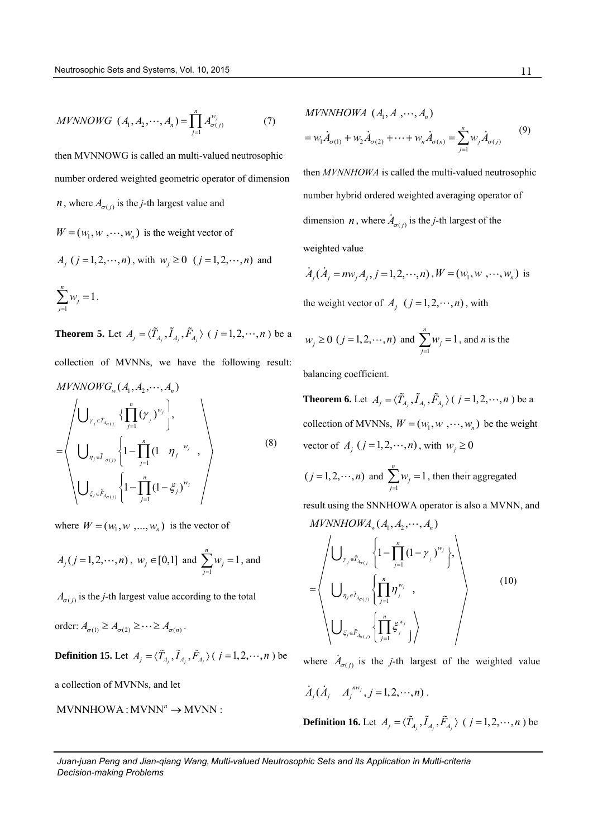$$
MVNNOWG \ (A_1, A_2, \cdots, A_n) = \prod_{j=1}^{n} A_{\sigma(j)}^{w_j}
$$
 (7)

then MVNNOWG is called an multi-valued neutrosophic number ordered weighted geometric operator of dimension *n*, where  $A_{\sigma(j)}$  is the *j*-th largest value and

 $W = (w_1, w_1, \dots, w_n)$  is the weight vector of  $A_j$  ( $j = 1, 2, \dots, n$ ), with  $w_j \ge 0$  ( $j = 1, 2, \dots, n$ ) and 1  $\sum_{i=1}^{n} w_i = 1$  $\sum w_j = 1$ . *j*  $=$ 

**Theorem 5.** Let  $A_j = \langle \tilde{T}_{A_j}, \tilde{I}_{A_j}, \tilde{F}_{A_j} \rangle$  ( $j = 1, 2, \dots, n$ ) be a collection of MVNNs, we have the following result:  $MVNNOWG_w(A_1, A_2, \dots, A_n)$ *n*

$$
= \left\langle \bigcup_{\gamma_{j} \in \tilde{T}_{\mathcal{A}_{\sigma(j)}}} \left\{ \prod_{j=1}^{n} (\gamma_{j})^{w_{j}} \right\}, \\ \bigcup_{\eta_{j} \in \tilde{I}_{\sigma(j)}} \left\{ 1 - \prod_{j=1}^{n} (1 - \eta_{j})^{w_{j}} \right\}, \\ \bigcup_{\xi_{j} \in \tilde{F}_{\mathcal{A}_{\sigma(j)}}} \left\{ 1 - \prod_{j=1}^{n} (1 - \xi_{j})^{w_{j}} \right\} \right\}
$$
(8)

where  $W = (w_1, w_1, ..., w_n)$  is the vector of

$$
A_j
$$
 ( $j = 1, 2, \dots, n$ ),  $w_j \in [0, 1]$  and  $\sum_{j=1}^n w_j = 1$ , and

 $A_{\sigma(j)}$  is the *j*-th largest value according to the total

order: 
$$
A_{\sigma(1)} \ge A_{\sigma(2)} \ge \cdots \ge A_{\sigma(n)}
$$
.

**Definition 15.** Let  $A_j = \langle \tilde{T}_{A_j}, \tilde{I}_{A_j}, \tilde{F}_{A_j} \rangle$  (  $j = 1, 2, \dots, n$  ) be

a collection of MVNNs, and let

$$
MVNNHOWA:MVNN" \to MVNN:
$$

*MVNNHOWA* 
$$
(A_1, A_2, ..., A_n)
$$
  
=  $w_1 \dot{A}_{\sigma(1)} + w_2 \dot{A}_{\sigma(2)} + ... + w_n \dot{A}_{\sigma(n)} = \sum_{j=1}^n w_j \dot{A}_{\sigma(j)}$  (9)

then *MVNNHOWA* is called the multi-valued neutrosophic number hybrid ordered weighted averaging operator of dimension *n*, where  $A_{\sigma(j)}$  is the *j*-th largest of the

weighted value

$$
\dot{A}_j
$$
 ( $\dot{A}_j = nw_j A_j$ ,  $j = 1, 2, \dots, n$ ),  $W = (w_1, w_1, \dots, w_n)$  is

the weight vector of  $A_j$   $(j = 1, 2, \dots, n)$ , with

$$
w_j \ge 0
$$
  $(j = 1, 2, \dots, n)$  and  $\sum_{j=1}^n w_j = 1$ , and *n* is the

balancing coefficient.

**Theorem 6.** Let  $A_j = \langle \tilde{T}_{A_j}, \tilde{I}_{A_j}, \tilde{F}_{A_j} \rangle$  (  $j = 1, 2, \dots, n$  ) be a collection of MVNNs,  $W = (w_1, w_1, \dots, w_n)$  be the weight vector of  $A_j$  ( $j = 1, 2, \dots, n$ ), with  $w_j \ge 0$ 

$$
(j = 1, 2, \dots, n)
$$
 and  $\sum_{j=1}^{n} w_j = 1$ , then their aggregated

result using the SNNHOWA operator is also a MVNN, and *MVNNHOWA*<sub>*w*</sub> $(A_1, A_2, \dots, A_n)$ 

$$
= \left\langle \bigcup_{\gamma_j \in \tilde{T}_{\lambda_{\sigma(j)}}} \left\{ 1 - \prod_{j=1}^n (1 - \gamma_j)^{w_j} \right\}, \right\rangle
$$
  

$$
= \left\langle \bigcup_{\eta_j \in \tilde{I}_{\lambda_{\sigma(j)}}} \left\{ \prod_{j=1}^n \eta_j^{w_j} \right\}, \right\rangle
$$
  

$$
\bigcup_{\xi_j \in \tilde{F}_{\lambda_{\sigma(j)}}} \left\{ \prod_{j=1}^n \xi_j^{w_j} \right\} \right\rangle
$$
  
(10)

where  $A_{\sigma(j)}$  is the *j*-th largest of the weighted value

$$
\dot{A}_j(\dot{A}_j \quad A_j^{mv_j}, j=1,2,\cdots,n)
$$
.

**Definition 16.** Let  $A_j = \langle \tilde{T}_{A_j}, \tilde{I}_{A_j}, \tilde{F}_{A_j} \rangle$  ( $j = 1, 2, \dots, n$ ) be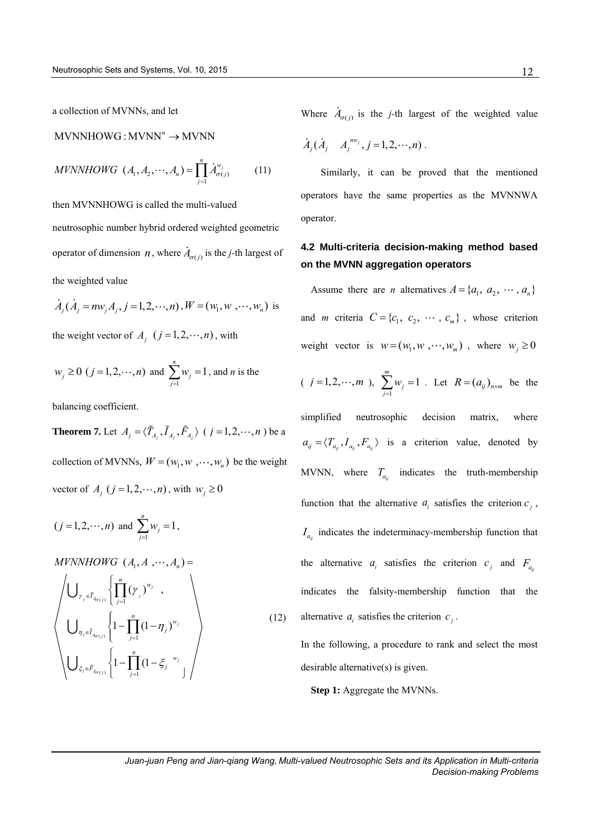a collection of MVNNs, and let

 $MVNNHOWG:MVNN<sup>n</sup> \rightarrow MVNNN$ 

$$
MVNNHOWG \ (A_1, A_2, \cdots, A_n) = \prod_{j=1}^{n} \dot{A}_{\sigma(j)}^{w_j}
$$
 (11)

then MVNNHOWG is called the multi-valued neutrosophic number hybrid ordered weighted geometric operator of dimension *n*, where  $A_{\sigma(j)}$  is the *j*-th largest of

the weighted value

$$
\dot{A}_j(\dot{A}_j = n w_j A_j, j = 1, 2, \dots, n), W = (w_1, w_1, \dots, w_n)
$$
 is

the weight vector of  $A_j$   $(j = 1, 2, \dots, n)$ , with

$$
w_j \ge 0
$$
  $(j = 1, 2, \dots, n)$  and  $\sum_{j=1}^{n} w_j = 1$ , and *n* is the

balancing coefficient.

**Theorem 7.** Let  $A_j = \langle \tilde{T}_{A_j}, \tilde{I}_{A_j}, \tilde{F}_{A_j} \rangle$  ( $j = 1, 2, \dots, n$ ) be a collection of MVNNs,  $W = (w_1, w_1, \dots, w_n)$  be the weight vector of  $A_j$  ( $j = 1, 2, \dots, n$ ), with  $w_j \ge 0$ 

$$
(j = 1, 2, \dots, n)
$$
 and  $\sum_{j=1}^{n} w_j = 1$ ,

*MVNNHOWG*  $(A_1, A_2, \dots, A_n) =$ 

$$
\left\langle \bigcup_{\gamma_{j} \in \tilde{T}_{\lambda_{\sigma(j)}}} \left\{ \prod_{j=1}^{n} (\gamma_{j})^{w_{j}} \right\}, \bigcup_{j=1}^{n} (\gamma_{j})^{w_{j}} \right\} \right\rangle
$$
\n
$$
\left\langle \bigcup_{\gamma_{j} \in \tilde{I}_{\lambda_{\sigma(j)}}} \left\{ 1 - \prod_{j=1}^{n} (1 - \eta_{j})^{w_{j}} \right\} \right\rangle
$$
\n
$$
\left\langle \bigcup_{\xi_{j} \in \tilde{F}_{\lambda_{\sigma(j)}}} \left\{ 1 - \prod_{j=1}^{n} (1 - \xi_{j})^{w_{j}} \right\} \right\rangle
$$
\n
$$
(12)
$$

Where  $A_{\sigma(j)}$  is the *j*-th largest of the weighted value

$$
\dot{A}_j(\dot{A}_j \quad A_j^{nw_j}, j=1,2,\cdots,n).
$$

Similarly, it can be proved that the mentioned operators have the same properties as the MVNNWA operator.

# **4.2 Multi-criteria decision-making method based on the MVNN aggregation operators**

Assume there are *n* alternatives  $A = \{a_1, a_2, \dots, a_n\}$ and *m* criteria  $C = \{c_1, c_2, \dots, c_m\}$ , whose criterion weight vector is  $w = (w_1, w_1, \dots, w_m)$ , where  $w_j \ge 0$ 

(*j* = 1,2,...,*m* ), 
$$
\sum_{j=1}^{m} w_j = 1
$$
. Let  $R = (a_{ij})_{n \times m}$  be the

simplified neutrosophic decision matrix, where  $a_{ij} = \langle T_{a_{ij}}, I_{a_{ij}}, F_{a_{ij}} \rangle$  is a criterion value, denoted by MVNN, where  $T_{a_{ij}}$  indicates the truth-membership function that the alternative  $a_i$  satisfies the criterion  $c_j$ ,  $I_{a_{ij}}$  indicates the indeterminacy-membership function that the alternative  $a_i$  satisfies the criterion  $c_j$  and  $F_{a_i}$ indicates the falsity-membership function that the alternative  $a_i$  satisfies the criterion  $c_j$ .

In the following, a procedure to rank and select the most desirable alternative(s) is given.

**Step 1:** Aggregate the MVNNs.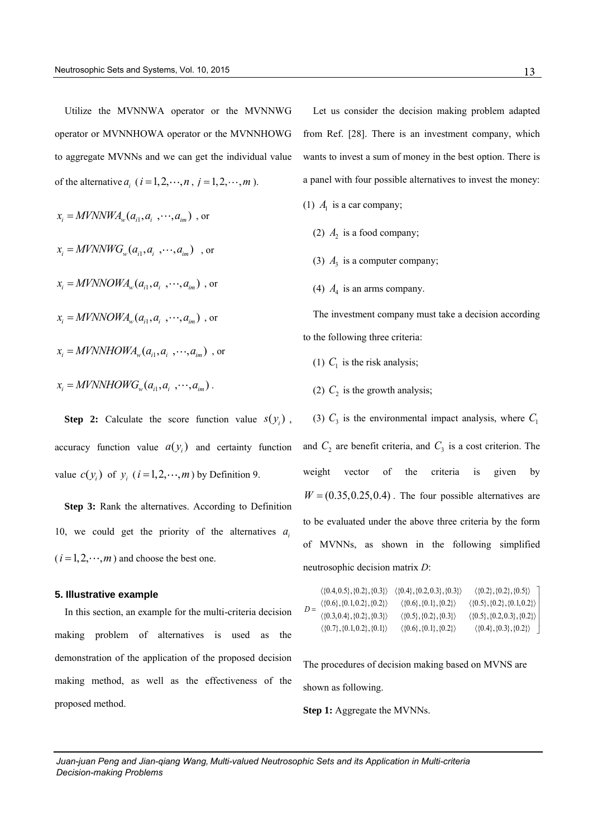Utilize the MVNNWA operator or the MVNNWG operator or MVNNHOWA operator or the MVNNHOWG to aggregate MVNNs and we can get the individual value of the alternative  $a_i$  ( $i = 1, 2, \dots, n$ ,  $j = 1, 2, \dots, m$ ).

$$
x_i = MVNNWA_w(a_{i1}, a_{i_1}, \cdots, a_{im})
$$
, or  
\n
$$
x_i = MVNNWG_w(a_{i1}, a_{i_1}, \cdots, a_{im})
$$
, or  
\n
$$
x_i = MVNNOWA_w(a_{i1}, a_{i_1}, \cdots, a_{im})
$$
, or  
\n
$$
x_i = MVNNOWA_w(a_{i1}, a_{i_1}, \cdots, a_{im})
$$
, or  
\n
$$
x_i = MVNNHOWA_w(a_{i1}, a_{i_1}, \cdots, a_{im})
$$
, or  
\n
$$
x_i = MVNNHOWG_w(a_{i1}, a_{i_1}, \cdots, a_{im})
$$
.

**Step 2:** Calculate the score function value  $s(y_i)$ , accuracy function value  $a(y_i)$  and certainty function value  $c(y_i)$  of  $y_i$  ( $i = 1, 2, \dots, m$ ) by Definition 9.

**Step 3:** Rank the alternatives. According to Definition 10, we could get the priority of the alternatives  $a_i$  $(i = 1, 2, \dots, m)$  and choose the best one.

### **5. Illustrative example**

In this section, an example for the multi-criteria decision making problem of alternatives is used as the demonstration of the application of the proposed decision making method, as well as the effectiveness of the proposed method.

Let us consider the decision making problem adapted from Ref. [28]. There is an investment company, which wants to invest a sum of money in the best option. There is a panel with four possible alternatives to invest the money:

- (1)  $A<sub>1</sub>$  is a car company;
	- (2)  $A_2$  is a food company;
	- (3)  $A_3$  is a computer company;
	- (4)  $A_4$  is an arms company.

The investment company must take a decision according to the following three criteria:

- (1)  $C_1$  is the risk analysis;
- (2)  $C_2$  is the growth analysis;

(3)  $C_3$  is the environmental impact analysis, where  $C_1$ and  $C_2$  are benefit criteria, and  $C_3$  is a cost criterion. The weight vector of the criteria is given by  $W = (0.35, 0.25, 0.4)$ . The four possible alternatives are to be evaluated under the above three criteria by the form of MVNNs, as shown in the following simplified

| neutrosophic decision matrix D:                                                                                                                          |                                                                                                                                                                                                                                                |                                                                                                                                                                                                      |
|----------------------------------------------------------------------------------------------------------------------------------------------------------|------------------------------------------------------------------------------------------------------------------------------------------------------------------------------------------------------------------------------------------------|------------------------------------------------------------------------------------------------------------------------------------------------------------------------------------------------------|
| $\langle \{0.6\}, \{0.1, 0.2\}, \{0.2\} \rangle$<br>$\langle \{0.3, 0.4\}, \{0.2\}, \{0.3\} \rangle$<br>$\langle \{0.7\}, \{0.1, 0.2\}, \{0.1\} \rangle$ | $\langle \{0.4, 0.5\}, \{0.2\}, \{0.3\} \rangle$ $\langle \{0.4\}, \{0.2, 0.3\}, \{0.3\} \rangle$<br>$\langle \{0.6\}, \{0.1\}, \{0.2\} \rangle$<br>$\langle \{0.5\}, \{0.2\}, \{0.3\} \rangle$<br>$\langle \{0.6\}, \{0.1\}, \{0.2\} \rangle$ | $\langle \{0.2\}, \{0.2\}, \{0.5\} \rangle$ ]<br>$\langle \{0.5\}, \{0.2\}, \{0.1, 0.2\} \rangle$<br>$\langle \{0.5\}, \{0.2, 0.3\}, \{0.2\} \rangle$<br>$\langle \{0.4\}, \{0.3\}, \{0.2\} \rangle$ |
|                                                                                                                                                          |                                                                                                                                                                                                                                                |                                                                                                                                                                                                      |

The procedures of decision making based on MVNS are shown as following.

**Step 1:** Aggregate the MVNNs.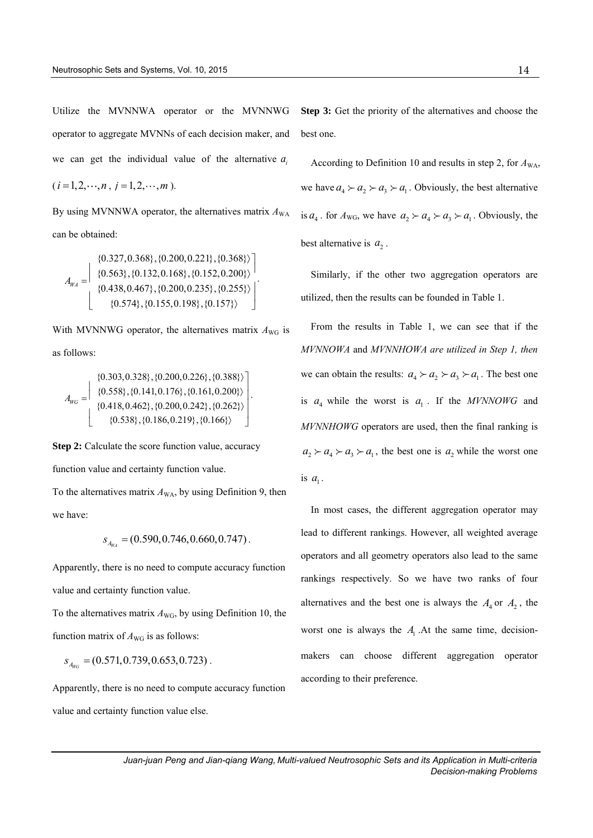Utilize the MVNNWA operator or the MVNNWG operator to aggregate MVNNs of each decision maker, and we can get the individual value of the alternative  $a_i$ 

$$
(i = 1, 2, \dots, n, j = 1, 2, \dots, m).
$$

By using MVNNWA operator, the alternatives matrix  $A_{WA}$ can be obtained:

$$
A_{WA} = \begin{bmatrix} \{0.327, 0.368\}, \{0.200, 0.221\}, \{0.368\} \} \\ \{0.563\}, \{0.132, 0.168\}, \{0.152, 0.200\} \} \\ \{0.438, 0.467\}, \{0.200, 0.235\}, \{0.255\} \} \\ \{0.574\}, \{0.155, 0.198\}, \{0.157\} \} \end{bmatrix}
$$

.

With MVNNWG operator, the alternatives matrix  $A_{\text{WG}}$  is as follows:

$$
A_{\text{WC}} = \begin{bmatrix} \{0.303, 0.328\}, \{0.200, 0.226\}, \{0.388\} \} \\ \{0.558\}, \{0.141, 0.176\}, \{0.161, 0.200\} \} \\ \{0.418, 0.462\}, \{0.200, 0.242\}, \{0.262\} \} \\ \{0.538\}, \{0.186, 0.219\}, \{0.166\} \} \end{bmatrix}.
$$

**Step 2:** Calculate the score function value, accuracy function value and certainty function value.

To the alternatives matrix  $A_{WA}$ , by using Definition 9, then we have:

$$
s_{A_{W4}} = (0.590, 0.746, 0.660, 0.747).
$$

Apparently, there is no need to compute accuracy function value and certainty function value.

To the alternatives matrix  $A_{\text{WG}}$ , by using Definition 10, the function matrix of  $A_{\text{WG}}$  is as follows:

$$
s_{A_{W_G}} = (0.571, 0.739, 0.653, 0.723) .
$$

Apparently, there is no need to compute accuracy function value and certainty function value else.

**Step 3:** Get the priority of the alternatives and choose the best one.

According to Definition 10 and results in step 2, for  $A_{WA}$ , we have  $a_4 \succ a_2 \succ a_3 \succ a_1$ . Obviously, the best alternative is  $a_4$ . for  $A_{\text{WG}}$ , we have  $a_2 \succ a_4 \succ a_3 \succ a_1$ . Obviously, the best alternative is  $a_2$ .

Similarly, if the other two aggregation operators are utilized, then the results can be founded in Table 1.

From the results in Table 1, we can see that if the *MVNNOWA* and *MVNNHOWA are utilized in Step 1, then* we can obtain the results:  $a_4 \succ a_2 \succ a_3 \succ a_1$ . The best one is  $a_4$  while the worst is  $a_1$ . If the *MVNNOWG* and *MVNNHOWG* operators are used, then the final ranking is  $a_2 > a_4 > a_3 > a_1$ , the best one is  $a_2$  while the worst one is  $a_1$ .

In most cases, the different aggregation operator may lead to different rankings. However, all weighted average operators and all geometry operators also lead to the same rankings respectively. So we have two ranks of four alternatives and the best one is always the  $A_4$  or  $A_2$ , the worst one is always the  $A<sub>1</sub>$ . At the same time, decisionmakers can choose different aggregation operator according to their preference.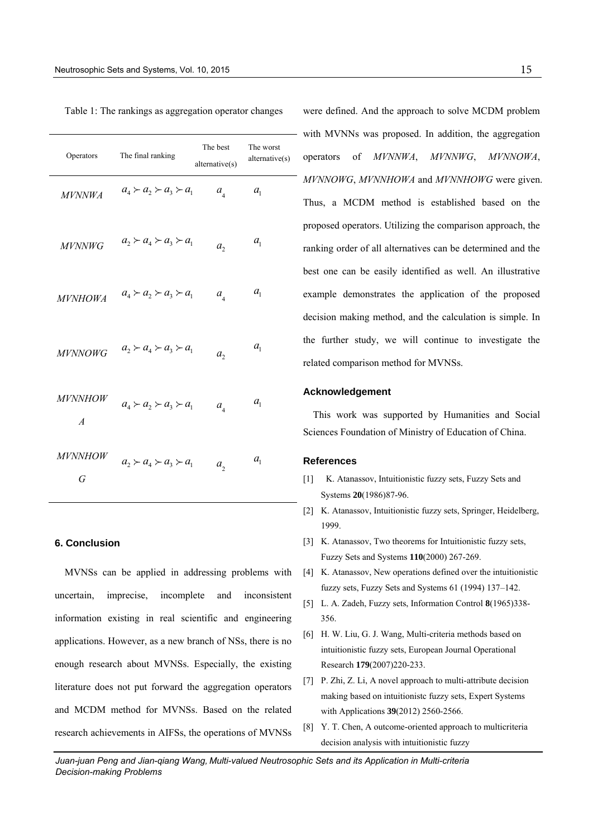| Operators                        | The final ranking                   | The best<br>alternative(s) | The worst<br>alternative(s) |
|----------------------------------|-------------------------------------|----------------------------|-----------------------------|
| <i>MVNNWA</i>                    | $a_4 \succ a_2 \succ a_3 \succ a_1$ | $a_{\overline{4}}$         | a <sub>1</sub>              |
| <i>MVNNWG</i>                    | $a_2 \succ a_4 \succ a_3 \succ a_1$ | a <sub>2</sub>             | $a_{1}$                     |
| <b>MVNHOWA</b>                   | $a_4 \succ a_2 \succ a_3 \succ a_1$ | $a_{\rm A}$                | $a_{1}$                     |
| <b>MVNNOWG</b>                   | $a_2 \succ a_4 \succ a_3 \succ a_1$ | a <sub>2</sub>             | a <sub>1</sub>              |
| <b>MVNNHOW</b><br>$\overline{A}$ | $a_4 \succ a_2 \succ a_3 \succ a_1$ | $a_{4}$                    | $a_{1}$                     |
| <i>MVNNHOW</i><br>G              | $a_2 \succ a_4 \succ a_3 \succ a_1$ | $a_{i}$                    | $a_{1}$                     |
|                                  |                                     |                            |                             |

#### Table 1: The rankings as aggregation operator changes

# **6. Conclusion**

MVNSs can be applied in addressing problems with uncertain, imprecise, incomplete and inconsistent information existing in real scientific and engineering applications. However, as a new branch of NSs, there is no enough research about MVNSs. Especially, the existing literature does not put forward the aggregation operators and MCDM method for MVNSs. Based on the related research achievements in AIFSs, the operations of MVNSs

were defined. And the approach to solve MCDM problem with MVNNs was proposed. In addition, the aggregation operators of *MVNNWA*, *MVNNWG*, *MVNNOWA*, *MVNNOWG*, *MVNNHOWA* and *MVNNHOWG* were given. Thus, a MCDM method is established based on the proposed operators. Utilizing the comparison approach, the ranking order of all alternatives can be determined and the best one can be easily identified as well. An illustrative example demonstrates the application of the proposed decision making method, and the calculation is simple. In the further study, we will continue to investigate the related comparison method for MVNSs.

### **Acknowledgement**

This work was supported by Humanities and Social Sciences Foundation of Ministry of Education of China.

#### **References**

- [1] K. Atanassov, Intuitionistic fuzzy sets, Fuzzy Sets and Systems **20**(1986)87-96.
- [2] K. Atanassov, Intuitionistic fuzzy sets, Springer, Heidelberg, 1999.
- [3] K. Atanassov, Two theorems for Intuitionistic fuzzy sets, Fuzzy Sets and Systems **110**(2000) 267-269.
- [4] K. Atanassov, New operations defined over the intuitionistic fuzzy sets, Fuzzy Sets and Systems 61 (1994) 137–142.
- [5] L. A. Zadeh, Fuzzy sets, Information Control **8**(1965)338- 356.
- [6] H. W. Liu, G. J. Wang, Multi-criteria methods based on intuitionistic fuzzy sets, European Journal Operational Research **179**(2007)220-233.
- [7] P. Zhi, Z. Li, A novel approach to multi-attribute decision making based on intuitionistc fuzzy sets, Expert Systems with Applications **39**(2012) 2560-2566.
- [8] Y. T. Chen, A outcome-oriented approach to multicriteria decision analysis with intuitionistic fuzzy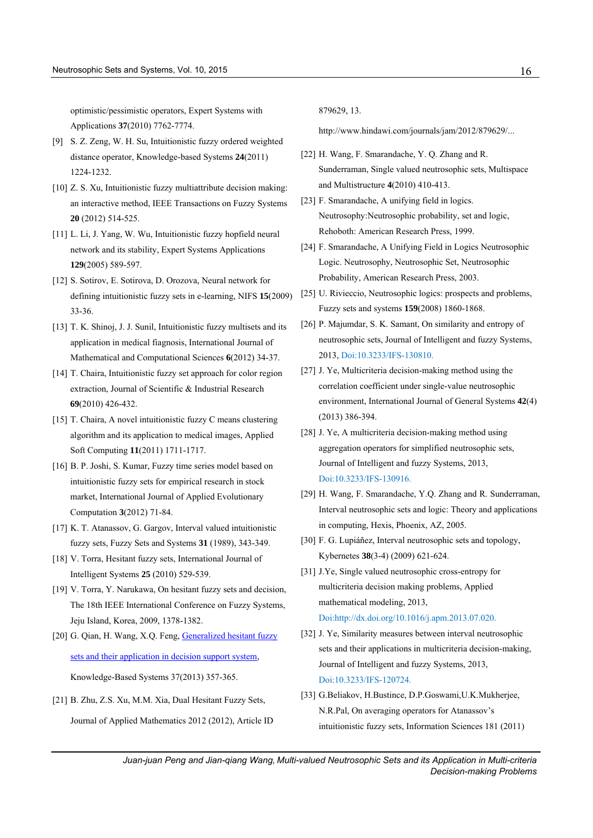optimistic/pessimistic operators, Expert Systems with Applications **37**(2010) 7762-7774.

- [9] S. Z. Zeng, W. H. Su, Intuitionistic fuzzy ordered weighted distance operator, Knowledge-based Systems **24**(2011) 1224-1232.
- [10] Z. S. Xu, Intuitionistic fuzzy multiattribute decision making: an interactive method, IEEE Transactions on Fuzzy Systems **20** (2012) 514-525.
- [11] L. Li, J. Yang, W. Wu, Intuitionistic fuzzy hopfield neural network and its stability, Expert Systems Applications **129**(2005) 589-597.
- [12] S. Sotirov, E. Sotirova, D. Orozova, Neural network for defining intuitionistic fuzzy sets in e-learning, NIFS **15**(2009) 33-36.
- [13] T. K. Shinoj, J. J. Sunil, Intuitionistic fuzzy multisets and its application in medical fiagnosis, International Journal of Mathematical and Computational Sciences **6**(2012) 34-37.
- [14] T. Chaira, Intuitionistic fuzzy set approach for color region extraction, Journal of Scientific & Industrial Research **69**(2010) 426-432.
- [15] T. Chaira, A novel intuitionistic fuzzy C means clustering algorithm and its application to medical images, Applied Soft Computing **11**(2011) 1711-1717.
- [16] B. P. Joshi, S. Kumar, Fuzzy time series model based on intuitionistic fuzzy sets for empirical research in stock market, International Journal of Applied Evolutionary Computation **3**(2012) 71-84.
- [17] K. T. Atanassov, G. Gargov, Interval valued intuitionistic fuzzy sets, Fuzzy Sets and Systems **31** (1989), 343-349.
- [18] V. Torra, Hesitant fuzzy sets, International Journal of Intelligent Systems **25** (2010) 529-539.
- [19] V. Torra, Y. Narukawa, On hesitant fuzzy sets and decision, The 18th IEEE International Conference on Fuzzy Systems, Jeju Island, Korea, 2009, 1378-1382.
- [20] G. Qian, H. Wang, X.Q. Feng, Generalized hesitant fuzzy [sets and their application in decision support system,](http://www.sciencedirect.com/science/article/pii/S0950705112002390)  Knowledge-Based Systems 37(2013) 357-365.
- [21] B. Zhu, Z.S. Xu, M.M. Xia, Dual Hesitant Fuzzy Sets, Journal of Applied Mathematics 2012 (2012), Article ID

879629, 13.

http://www.hindawi.com/journals/jam/2012/879629/...

- [22] H. Wang, F. Smarandache, Y. Q. Zhang and R. Sunderraman, Single valued neutrosophic sets, Multispace and Multistructure **4**(2010) 410-413.
- [23] F. Smarandache, A unifying field in logics. Neutrosophy:Neutrosophic probability, set and logic, Rehoboth: American Research Press, 1999.
- [24] F. Smarandache, A Unifying Field in Logics Neutrosophic Logic. Neutrosophy, Neutrosophic Set, Neutrosophic Probability, American Research Press, 2003.
- [25] U. Rivieccio, Neutrosophic logics: prospects and problems, Fuzzy sets and systems **159**(2008) 1860-1868.
- [26] P. Majumdar, S. K. Samant, On similarity and entropy of neutrosophic sets, Journal of Intelligent and fuzzy Systems, 2013, Doi:10.3233/IFS-130810.
- [27] J. Ye, Multicriteria decision-making method using the correlation coefficient under single-value neutrosophic environment, International Journal of General Systems **42**(4) (2013) 386-394.
- [28] J. Ye, A multicriteria decision-making method using aggregation operators for simplified neutrosophic sets, Journal of Intelligent and fuzzy Systems, 2013, Doi:10.3233/IFS-130916.
- [29] H. Wang, F. Smarandache, Y.Q. Zhang and R. Sunderraman, Interval neutrosophic sets and logic: Theory and applications in computing, Hexis, Phoenix, AZ, 2005.
- [30] F. G. Lupiáñez, Interval neutrosophic sets and topology, Kybernetes **38**(3-4) (2009) 621-624.
- [31] J.Ye, Single valued neutrosophic cross-entropy for multicriteria decision making problems, Applied mathematical modeling, 2013, Doi:http://dx.doi.org/10.1016/j.apm.2013.07.020.
- [32] J. Ye, Similarity measures between interval neutrosophic sets and their applications in multicriteria decision-making, Journal of Intelligent and fuzzy Systems, 2013, Doi:10.3233/IFS-120724.
- [33] G.Beliakov, H.Bustince, D.P.Goswami,U.K.Mukherjee, N.R.Pal, On averaging operators for Atanassov's intuitionistic fuzzy sets, Information Sciences 181 (2011)